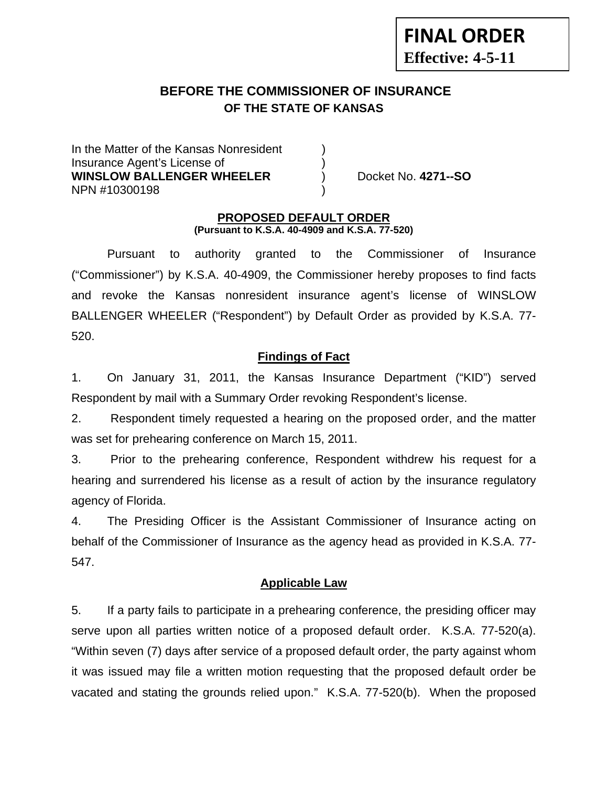# **BEFORE THE COMMISSIONER OF INSURANCE OF THE STATE OF KANSAS**

In the Matter of the Kansas Nonresident Insurance Agent's License of ) **WINSLOW BALLENGER WHEELER** ) Docket No. **4271--SO** NPN #10300198 )

## **PROPOSED DEFAULT ORDER (Pursuant to K.S.A. 40-4909 and K.S.A. 77-520)**

 Pursuant to authority granted to the Commissioner of Insurance ("Commissioner") by K.S.A. 40-4909, the Commissioner hereby proposes to find facts and revoke the Kansas nonresident insurance agent's license of WINSLOW BALLENGER WHEELER ("Respondent") by Default Order as provided by K.S.A. 77- 520.

# **Findings of Fact**

1. On January 31, 2011, the Kansas Insurance Department ("KID") served Respondent by mail with a Summary Order revoking Respondent's license.

2. Respondent timely requested a hearing on the proposed order, and the matter was set for prehearing conference on March 15, 2011.

3. Prior to the prehearing conference, Respondent withdrew his request for a hearing and surrendered his license as a result of action by the insurance regulatory agency of Florida.

4. The Presiding Officer is the Assistant Commissioner of Insurance acting on behalf of the Commissioner of Insurance as the agency head as provided in K.S.A. 77- 547.

# **Applicable Law**

5. If a party fails to participate in a prehearing conference, the presiding officer may serve upon all parties written notice of a proposed default order. K.S.A. 77-520(a). "Within seven (7) days after service of a proposed default order, the party against whom it was issued may file a written motion requesting that the proposed default order be vacated and stating the grounds relied upon." K.S.A. 77-520(b). When the proposed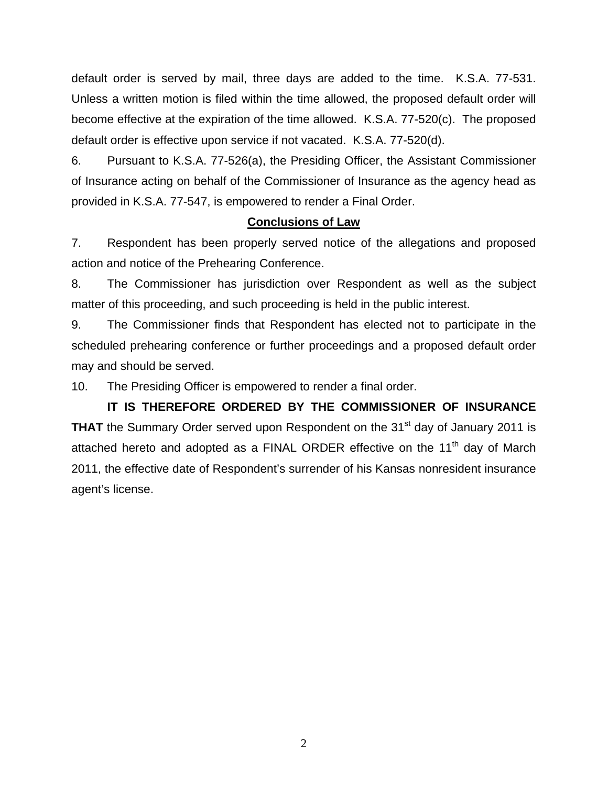default order is served by mail, three days are added to the time. K.S.A. 77-531. Unless a written motion is filed within the time allowed, the proposed default order will become effective at the expiration of the time allowed. K.S.A. 77-520(c). The proposed default order is effective upon service if not vacated. K.S.A. 77-520(d).

6. Pursuant to K.S.A. 77-526(a), the Presiding Officer, the Assistant Commissioner of Insurance acting on behalf of the Commissioner of Insurance as the agency head as provided in K.S.A. 77-547, is empowered to render a Final Order.

# **Conclusions of Law**

7. Respondent has been properly served notice of the allegations and proposed action and notice of the Prehearing Conference.

8. The Commissioner has jurisdiction over Respondent as well as the subject matter of this proceeding, and such proceeding is held in the public interest.

9. The Commissioner finds that Respondent has elected not to participate in the scheduled prehearing conference or further proceedings and a proposed default order may and should be served.

10. The Presiding Officer is empowered to render a final order.

 **IT IS THEREFORE ORDERED BY THE COMMISSIONER OF INSURANCE THAT** the Summary Order served upon Respondent on the 31<sup>st</sup> day of January 2011 is attached hereto and adopted as a FINAL ORDER effective on the  $11<sup>th</sup>$  day of March 2011, the effective date of Respondent's surrender of his Kansas nonresident insurance agent's license.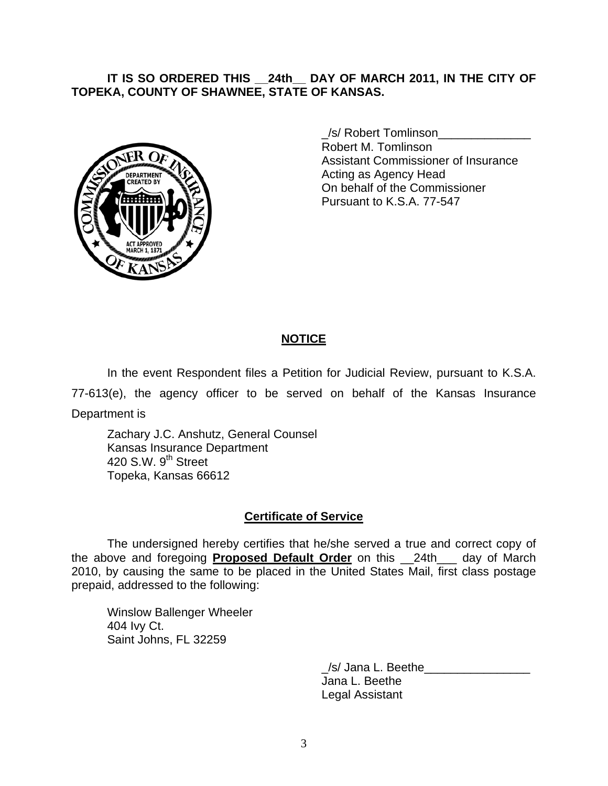# **IT IS SO ORDERED THIS \_\_24th\_\_ DAY OF MARCH 2011, IN THE CITY OF TOPEKA, COUNTY OF SHAWNEE, STATE OF KANSAS.**



 \_/s/ Robert Tomlinson\_\_\_\_\_\_\_\_\_\_\_\_\_\_ Robert M. Tomlinson Assistant Commissioner of Insurance **Acting as Agency Head** Acting as Agency Head On behalf of the Commissioner Pursuant to K.S.A. 77-547

# **NOTICE**

In the event Respondent files a Petition for Judicial Review, pursuant to K.S.A.

77-613(e), the agency officer to be served on behalf of the Kansas Insurance

Department is

 Zachary J.C. Anshutz, General Counsel Kansas Insurance Department 420 S.W. 9<sup>th</sup> Street Topeka, Kansas 66612

## **Certificate of Service**

 The undersigned hereby certifies that he/she served a true and correct copy of the above and foregoing **Proposed Default Order** on this \_\_24th\_\_\_ day of March 2010, by causing the same to be placed in the United States Mail, first class postage prepaid, addressed to the following:

 Winslow Ballenger Wheeler 404 Ivy Ct. Saint Johns, FL 32259

> /s/ Jana L. Beethe Jana L. Beethe Legal Assistant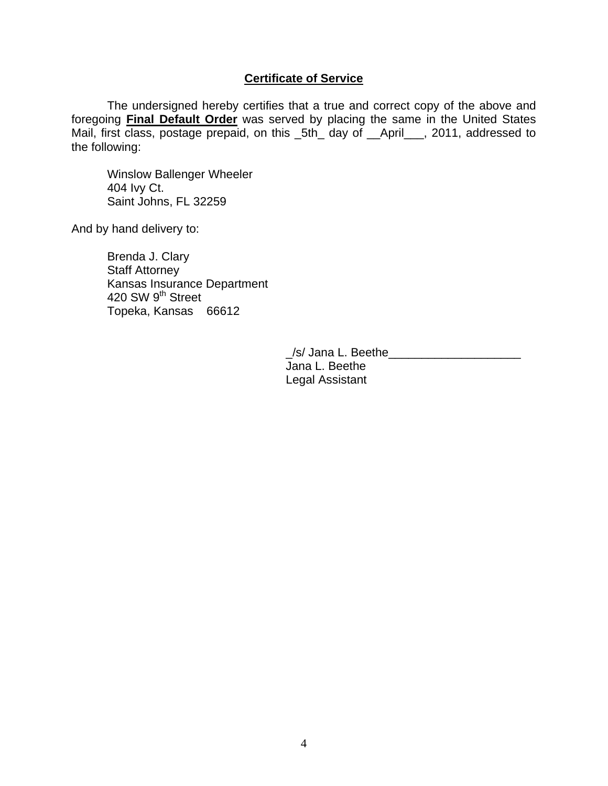# **Certificate of Service**

The undersigned hereby certifies that a true and correct copy of the above and foregoing **Final Default Order** was served by placing the same in the United States Mail, first class, postage prepaid, on this \_5th\_ day of \_\_April\_\_\_, 2011, addressed to the following:

 Winslow Ballenger Wheeler 404 Ivy Ct. Saint Johns, FL 32259

And by hand delivery to:

 Brenda J. Clary Staff Attorney Kansas Insurance Department 420 SW 9<sup>th</sup> Street Topeka, Kansas 66612

> /s/ Jana L. Beethe Jana L. Beethe Legal Assistant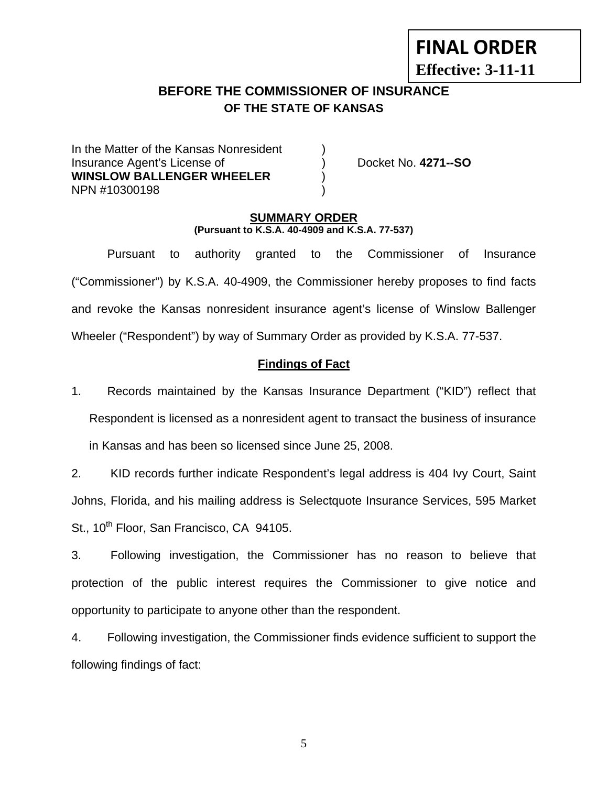# **FINAL ORDER**

**Effective: 3-11-11** 

# **BEFORE THE COMMISSIONER OF INSURANCE OF THE STATE OF KANSAS**

In the Matter of the Kansas Nonresident Insurance Agent's License of ) Docket No. **4271--SO WINSLOW BALLENGER WHEELER** ) NPN #10300198 )

## **SUMMARY ORDER (Pursuant to K.S.A. 40-4909 and K.S.A. 77-537)**

 Pursuant to authority granted to the Commissioner of Insurance ("Commissioner") by K.S.A. 40-4909, the Commissioner hereby proposes to find facts and revoke the Kansas nonresident insurance agent's license of Winslow Ballenger Wheeler ("Respondent") by way of Summary Order as provided by K.S.A. 77-537.

# **Findings of Fact**

1. Records maintained by the Kansas Insurance Department ("KID") reflect that Respondent is licensed as a nonresident agent to transact the business of insurance in Kansas and has been so licensed since June 25, 2008.

2. KID records further indicate Respondent's legal address is 404 Ivy Court, Saint Johns, Florida, and his mailing address is Selectquote Insurance Services, 595 Market St., 10<sup>th</sup> Floor, San Francisco, CA 94105.

3. Following investigation, the Commissioner has no reason to believe that protection of the public interest requires the Commissioner to give notice and opportunity to participate to anyone other than the respondent.

4. Following investigation, the Commissioner finds evidence sufficient to support the following findings of fact: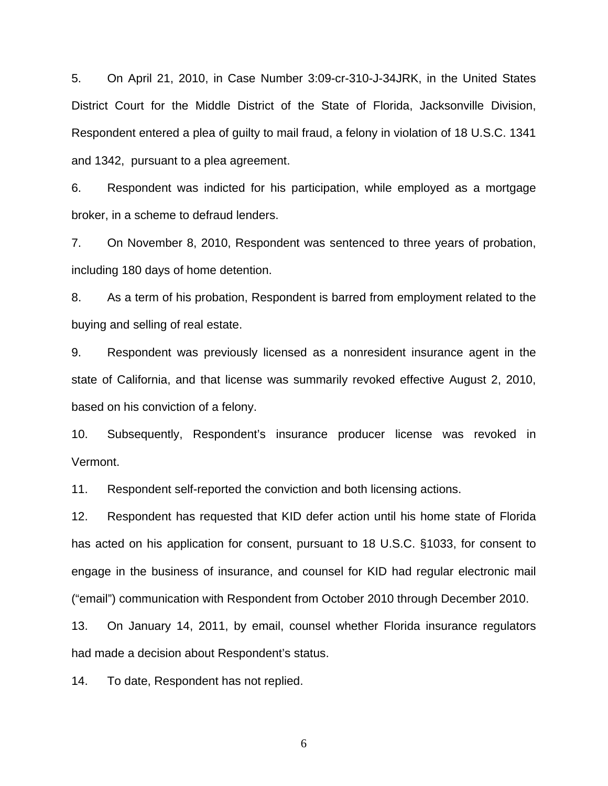5. On April 21, 2010, in Case Number 3:09-cr-310-J-34JRK, in the United States District Court for the Middle District of the State of Florida, Jacksonville Division, Respondent entered a plea of guilty to mail fraud, a felony in violation of 18 U.S.C. 1341 and 1342, pursuant to a plea agreement.

6. Respondent was indicted for his participation, while employed as a mortgage broker, in a scheme to defraud lenders.

7. On November 8, 2010, Respondent was sentenced to three years of probation, including 180 days of home detention.

8. As a term of his probation, Respondent is barred from employment related to the buying and selling of real estate.

9. Respondent was previously licensed as a nonresident insurance agent in the state of California, and that license was summarily revoked effective August 2, 2010, based on his conviction of a felony.

10. Subsequently, Respondent's insurance producer license was revoked in Vermont.

11. Respondent self-reported the conviction and both licensing actions.

12. Respondent has requested that KID defer action until his home state of Florida has acted on his application for consent, pursuant to 18 U.S.C. §1033, for consent to engage in the business of insurance, and counsel for KID had regular electronic mail ("email") communication with Respondent from October 2010 through December 2010.

13. On January 14, 2011, by email, counsel whether Florida insurance regulators had made a decision about Respondent's status.

14. To date, Respondent has not replied.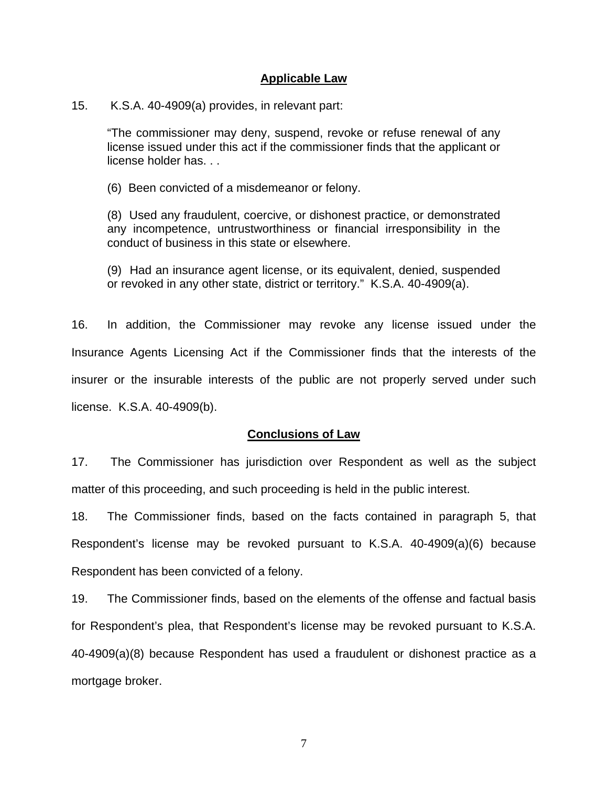#### **Applicable Law**

#### 15. K.S.A. 40-4909(a) provides, in relevant part:

"The commissioner may deny, suspend, revoke or refuse renewal of any license issued under this act if the commissioner finds that the applicant or license holder has. . .

(6) Been convicted of a misdemeanor or felony.

(8) Used any fraudulent, coercive, or dishonest practice, or demonstrated any incompetence, untrustworthiness or financial irresponsibility in the conduct of business in this state or elsewhere.

(9) Had an insurance agent license, or its equivalent, denied, suspended or revoked in any other state, district or territory." K.S.A. 40-4909(a).

16. In addition, the Commissioner may revoke any license issued under the Insurance Agents Licensing Act if the Commissioner finds that the interests of the insurer or the insurable interests of the public are not properly served under such license. K.S.A. 40-4909(b).

## **Conclusions of Law**

17. The Commissioner has jurisdiction over Respondent as well as the subject matter of this proceeding, and such proceeding is held in the public interest.

18. The Commissioner finds, based on the facts contained in paragraph 5, that Respondent's license may be revoked pursuant to K.S.A. 40-4909(a)(6) because Respondent has been convicted of a felony.

19. The Commissioner finds, based on the elements of the offense and factual basis for Respondent's plea, that Respondent's license may be revoked pursuant to K.S.A. 40-4909(a)(8) because Respondent has used a fraudulent or dishonest practice as a mortgage broker.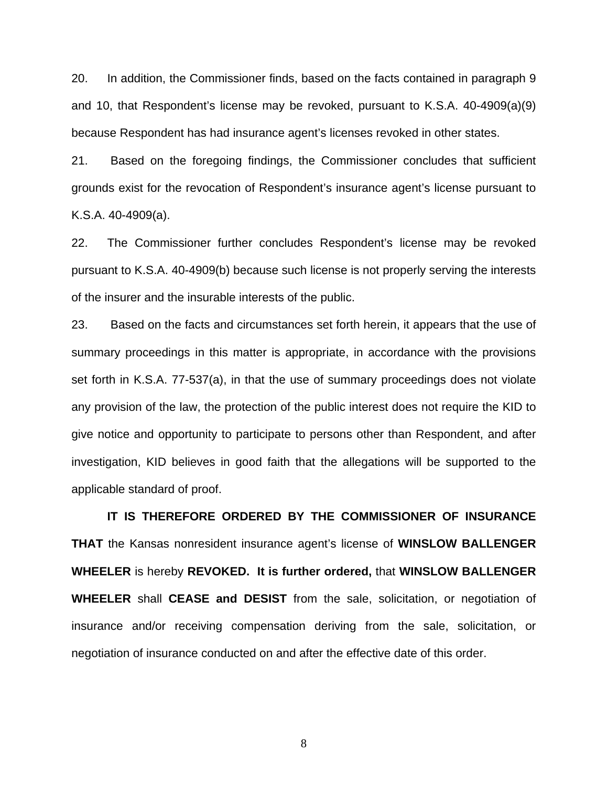20. In addition, the Commissioner finds, based on the facts contained in paragraph 9 and 10, that Respondent's license may be revoked, pursuant to K.S.A. 40-4909(a)(9) because Respondent has had insurance agent's licenses revoked in other states.

21. Based on the foregoing findings, the Commissioner concludes that sufficient grounds exist for the revocation of Respondent's insurance agent's license pursuant to K.S.A. 40-4909(a).

22. The Commissioner further concludes Respondent's license may be revoked pursuant to K.S.A. 40-4909(b) because such license is not properly serving the interests of the insurer and the insurable interests of the public.

23. Based on the facts and circumstances set forth herein, it appears that the use of summary proceedings in this matter is appropriate, in accordance with the provisions set forth in K.S.A. 77-537(a), in that the use of summary proceedings does not violate any provision of the law, the protection of the public interest does not require the KID to give notice and opportunity to participate to persons other than Respondent, and after investigation, KID believes in good faith that the allegations will be supported to the applicable standard of proof.

 **IT IS THEREFORE ORDERED BY THE COMMISSIONER OF INSURANCE THAT** the Kansas nonresident insurance agent's license of **WINSLOW BALLENGER WHEELER** is hereby **REVOKED. It is further ordered,** that **WINSLOW BALLENGER WHEELER** shall **CEASE and DESIST** from the sale, solicitation, or negotiation of insurance and/or receiving compensation deriving from the sale, solicitation, or negotiation of insurance conducted on and after the effective date of this order.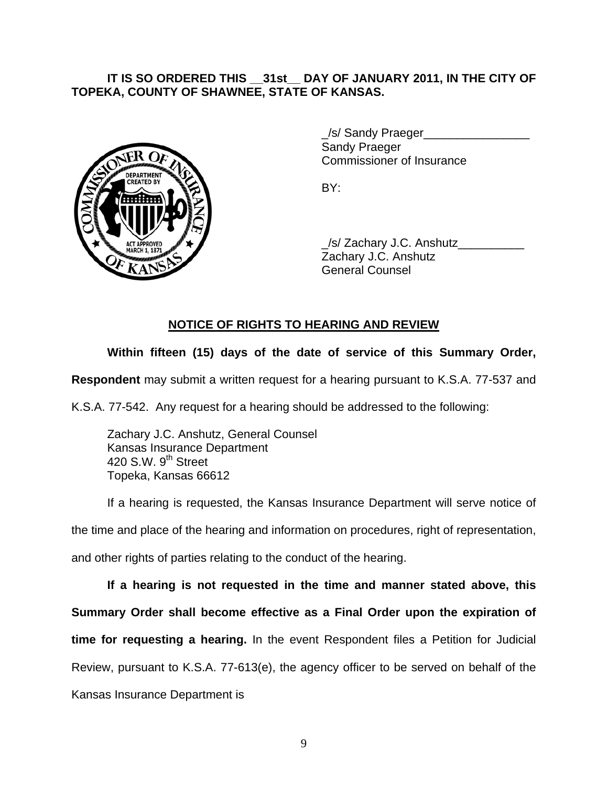# **IT IS SO ORDERED THIS \_\_31st\_\_ DAY OF JANUARY 2011, IN THE CITY OF TOPEKA, COUNTY OF SHAWNEE, STATE OF KANSAS.**



/s/ Sandy Praeger Sandy Praeger Commissioner of Insurance

 \_/s/ Zachary J.C. Anshutz\_\_\_\_\_\_\_\_\_\_ Zachary J.C. Anshutz General Counsel

# **NOTICE OF RIGHTS TO HEARING AND REVIEW**

# **Within fifteen (15) days of the date of service of this Summary Order,**

**Respondent** may submit a written request for a hearing pursuant to K.S.A. 77-537 and

K.S.A. 77-542. Any request for a hearing should be addressed to the following:

 Zachary J.C. Anshutz, General Counsel Kansas Insurance Department 420 S.W. 9<sup>th</sup> Street Topeka, Kansas 66612

If a hearing is requested, the Kansas Insurance Department will serve notice of the time and place of the hearing and information on procedures, right of representation, and other rights of parties relating to the conduct of the hearing.

**If a hearing is not requested in the time and manner stated above, this Summary Order shall become effective as a Final Order upon the expiration of time for requesting a hearing.** In the event Respondent files a Petition for Judicial Review, pursuant to K.S.A. 77-613(e), the agency officer to be served on behalf of the Kansas Insurance Department is